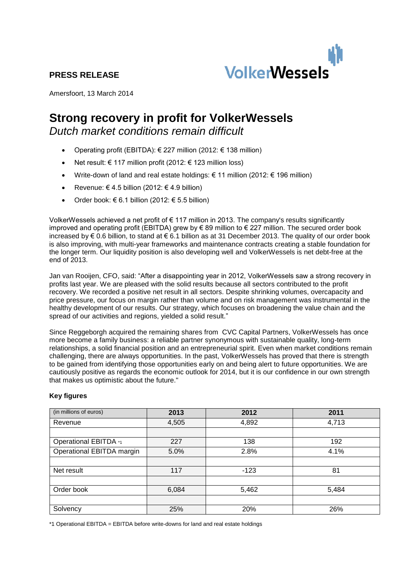

# **PRESS RELEASE**

Amersfoort, 13 March 2014

# **Strong recovery in profit for VolkerWessels** *Dutch market conditions remain difficult*

- Operating profit (EBITDA): € 227 million (2012: € 138 million)
- Net result: € 117 million profit (2012: € 123 million loss)
- Write-down of land and real estate holdings:  $\epsilon$  11 million (2012:  $\epsilon$  196 million)
- Revenue: € 4.5 billion (2012: € 4.9 billion)
- Order book:  $€ 6.1$  billion (2012:  $€ 5.5$  billion)

VolkerWessels achieved a net profit of € 117 million in 2013. The company's results significantly improved and operating profit (EBITDA) grew by  $\in$  89 million to  $\in$  227 million. The secured order book increased by € 0.6 billion, to stand at € 6.1 billion as at 31 December 2013. The quality of our order book is also improving, with multi-year frameworks and maintenance contracts creating a stable foundation for the longer term. Our liquidity position is also developing well and VolkerWessels is net debt-free at the end of 2013.

Jan van Rooijen, CFO, said: "After a disappointing year in 2012, VolkerWessels saw a strong recovery in profits last year. We are pleased with the solid results because all sectors contributed to the profit recovery. We recorded a positive net result in all sectors. Despite shrinking volumes, overcapacity and price pressure, our focus on margin rather than volume and on risk management was instrumental in the healthy development of our results. Our strategy, which focuses on broadening the value chain and the spread of our activities and regions, yielded a solid result."

Since Reggeborgh acquired the remaining shares from CVC Capital Partners, VolkerWessels has once more become a family business: a reliable partner synonymous with sustainable quality, long-term relationships, a solid financial position and an entrepreneurial spirit. Even when market conditions remain challenging, there are always opportunities. In the past, VolkerWessels has proved that there is strength to be gained from identifying those opportunities early on and being alert to future opportunities. We are cautiously positive as regards the economic outlook for 2014, but it is our confidence in our own strength that makes us optimistic about the future."

| (in millions of euros)    | 2013  | 2012   | 2011  |
|---------------------------|-------|--------|-------|
| Revenue                   | 4,505 | 4,892  | 4,713 |
|                           |       |        |       |
| Operational EBITDA *1     | 227   | 138    | 192   |
| Operational EBITDA margin | 5.0%  | 2.8%   | 4.1%  |
|                           |       |        |       |
| Net result                | 117   | $-123$ | 81    |
|                           |       |        |       |
| Order book                | 6,084 | 5,462  | 5,484 |
|                           |       |        |       |
| Solvency                  | 25%   | 20%    | 26%   |
|                           |       |        |       |

# **Key figures**

\*1 Operational EBITDA = EBITDA before write-downs for land and real estate holdings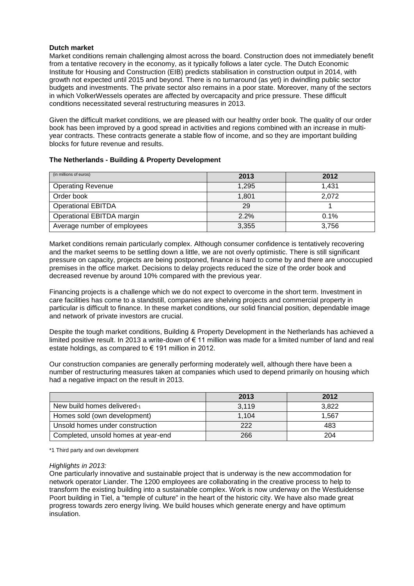# **Dutch market**

Market conditions remain challenging almost across the board. Construction does not immediately benefit from a tentative recovery in the economy, as it typically follows a later cycle. The Dutch Economic Institute for Housing and Construction (EIB) predicts stabilisation in construction output in 2014, with growth not expected until 2015 and beyond. There is no turnaround (as yet) in dwindling public sector budgets and investments. The private sector also remains in a poor state. Moreover, many of the sectors in which VolkerWessels operates are affected by overcapacity and price pressure. These difficult conditions necessitated several restructuring measures in 2013.

Given the difficult market conditions, we are pleased with our healthy order book. The quality of our order book has been improved by a good spread in activities and regions combined with an increase in multiyear contracts. These contracts generate a stable flow of income, and so they are important building blocks for future revenue and results.

# **The Netherlands - Building & Property Development**

| (in millions of euros)      | 2013  | 2012  |
|-----------------------------|-------|-------|
| <b>Operating Revenue</b>    | 1,295 | 1.431 |
| Order book                  | 1.801 | 2,072 |
| <b>Operational EBITDA</b>   | 29    |       |
| Operational EBITDA margin   | 2.2%  | 0.1%  |
| Average number of employees | 3,355 | 3.756 |

Market conditions remain particularly complex. Although consumer confidence is tentatively recovering and the market seems to be settling down a little, we are not overly optimistic. There is still significant pressure on capacity, projects are being postponed, finance is hard to come by and there are unoccupied premises in the office market. Decisions to delay projects reduced the size of the order book and decreased revenue by around 10% compared with the previous year.

Financing projects is a challenge which we do not expect to overcome in the short term. Investment in care facilities has come to a standstill, companies are shelving projects and commercial property in particular is difficult to finance. In these market conditions, our solid financial position, dependable image and network of private investors are crucial.

Despite the tough market conditions, Building & Property Development in the Netherlands has achieved a limited positive result. In 2013 a write-down of € 11 million was made for a limited number of land and real estate holdings, as compared to € 191 million in 2012.

Our construction companies are generally performing moderately well, although there have been a number of restructuring measures taken at companies which used to depend primarily on housing which had a negative impact on the result in 2013.

|                                     | 2013  | 2012  |
|-------------------------------------|-------|-------|
| New build homes delivered*1         | 3.119 | 3,822 |
| Homes sold (own development)        | 1.104 | 1.567 |
| Unsold homes under construction     | 222   | 483   |
| Completed, unsold homes at year-end | 266   | 204   |

\*1 Third party and own development

#### *Highlights in 2013:*

One particularly innovative and sustainable project that is underway is the new accommodation for network operator Liander. The 1200 employees are collaborating in the creative process to help to transform the existing building into a sustainable complex. Work is now underway on the Westluidense Poort building in Tiel, a "temple of culture" in the heart of the historic city. We have also made great progress towards zero energy living. We build houses which generate energy and have optimum insulation.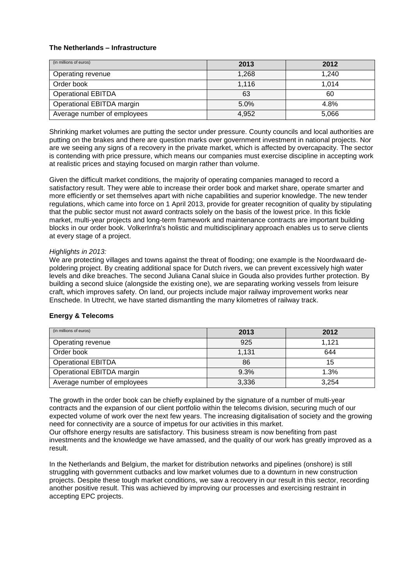# **The Netherlands – Infrastructure**

| (in millions of euros)      | 2013  | 2012  |
|-----------------------------|-------|-------|
| Operating revenue           | 1,268 | 1.240 |
| Order book                  | 1,116 | 1.014 |
| <b>Operational EBITDA</b>   | 63    | 60    |
| Operational EBITDA margin   | 5.0%  | 4.8%  |
| Average number of employees | 4,952 | 5,066 |

Shrinking market volumes are putting the sector under pressure. County councils and local authorities are putting on the brakes and there are question marks over government investment in national projects. Nor are we seeing any signs of a recovery in the private market, which is affected by overcapacity. The sector is contending with price pressure, which means our companies must exercise discipline in accepting work at realistic prices and staying focused on margin rather than volume.

Given the difficult market conditions, the majority of operating companies managed to record a satisfactory result. They were able to increase their order book and market share, operate smarter and more efficiently or set themselves apart with niche capabilities and superior knowledge. The new tender regulations, which came into force on 1 April 2013, provide for greater recognition of quality by stipulating that the public sector must not award contracts solely on the basis of the lowest price. In this fickle market, multi-year projects and long-term framework and maintenance contracts are important building blocks in our order book. VolkerInfra's holistic and multidisciplinary approach enables us to serve clients at every stage of a project.

#### *Highlights in 2013:*

We are protecting villages and towns against the threat of flooding; one example is the Noordwaard depoldering project. By creating additional space for Dutch rivers, we can prevent excessively high water levels and dike breaches. The second Juliana Canal sluice in Gouda also provides further protection. By building a second sluice (alongside the existing one), we are separating working vessels from leisure craft, which improves safety. On land, our projects include major railway improvement works near Enschede. In Utrecht, we have started dismantling the many kilometres of railway track.

# **Energy & Telecoms**

| (in millions of euros)      | 2013  | 2012  |
|-----------------------------|-------|-------|
| Operating revenue           | 925   | 1.121 |
| Order book                  | 1.131 | 644   |
| <b>Operational EBITDA</b>   | 86    | 15    |
| Operational EBITDA margin   | 9.3%  | 1.3%  |
| Average number of employees | 3,336 | 3,254 |

The growth in the order book can be chiefly explained by the signature of a number of multi-year contracts and the expansion of our client portfolio within the telecoms division, securing much of our expected volume of work over the next few years. The increasing digitalisation of society and the growing need for connectivity are a source of impetus for our activities in this market.

Our offshore energy results are satisfactory. This business stream is now benefiting from past investments and the knowledge we have amassed, and the quality of our work has greatly improved as a result.

In the Netherlands and Belgium, the market for distribution networks and pipelines (onshore) is still struggling with government cutbacks and low market volumes due to a downturn in new construction projects. Despite these tough market conditions, we saw a recovery in our result in this sector, recording another positive result. This was achieved by improving our processes and exercising restraint in accepting EPC projects.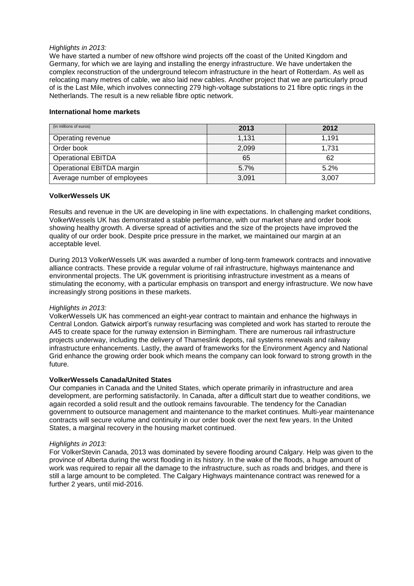#### *Highlights in 2013:*

We have started a number of new offshore wind projects off the coast of the United Kingdom and Germany, for which we are laying and installing the energy infrastructure. We have undertaken the complex reconstruction of the underground telecom infrastructure in the heart of Rotterdam. As well as relocating many metres of cable, we also laid new cables. Another project that we are particularly proud of is the Last Mile, which involves connecting 279 high-voltage substations to 21 fibre optic rings in the Netherlands. The result is a new reliable fibre optic network.

# **International home markets**

| (in millions of euros)      | 2013  | 2012  |
|-----------------------------|-------|-------|
| Operating revenue           | 1.131 | 1.191 |
| Order book                  | 2,099 | 1.731 |
| <b>Operational EBITDA</b>   | 65    | 62    |
| Operational EBITDA margin   | 5.7%  | 5.2%  |
| Average number of employees | 3,091 | 3,007 |

# **VolkerWessels UK**

Results and revenue in the UK are developing in line with expectations. In challenging market conditions, VolkerWessels UK has demonstrated a stable performance, with our market share and order book showing healthy growth. A diverse spread of activities and the size of the projects have improved the quality of our order book. Despite price pressure in the market, we maintained our margin at an acceptable level.

During 2013 VolkerWessels UK was awarded a number of long-term framework contracts and innovative alliance contracts. These provide a regular volume of rail infrastructure, highways maintenance and environmental projects. The UK government is prioritising infrastructure investment as a means of stimulating the economy, with a particular emphasis on transport and energy infrastructure. We now have increasingly strong positions in these markets.

#### *Highlights in 2013:*

VolkerWessels UK has commenced an eight-year contract to maintain and enhance the highways in Central London. Gatwick airport's runway resurfacing was completed and work has started to reroute the A45 to create space for the runway extension in Birmingham. There are numerous rail infrastructure projects underway, including the delivery of Thameslink depots, rail systems renewals and railway infrastructure enhancements. Lastly, the award of frameworks for the Environment Agency and National Grid enhance the growing order book which means the company can look forward to strong growth in the future.

# **VolkerWessels Canada/United States**

Our companies in Canada and the United States, which operate primarily in infrastructure and area development, are performing satisfactorily. In Canada, after a difficult start due to weather conditions, we again recorded a solid result and the outlook remains favourable. The tendency for the Canadian government to outsource management and maintenance to the market continues. Multi-year maintenance contracts will secure volume and continuity in our order book over the next few years. In the United States, a marginal recovery in the housing market continued.

#### *Highlights in 2013:*

For VolkerStevin Canada, 2013 was dominated by severe flooding around Calgary. Help was given to the province of Alberta during the worst flooding in its history. In the wake of the floods, a huge amount of work was required to repair all the damage to the infrastructure, such as roads and bridges, and there is still a large amount to be completed. The Calgary Highways maintenance contract was renewed for a further 2 years, until mid-2016.